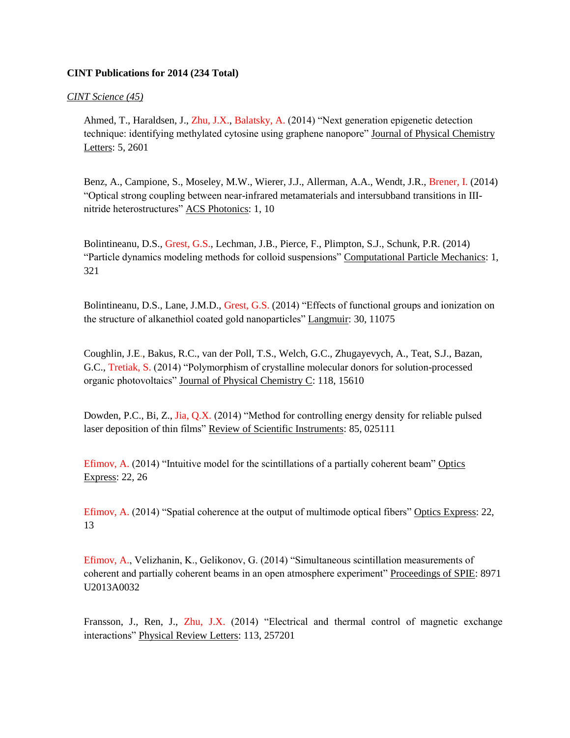## **CINT Publications for 2014 (234 Total)**

## *CINT Science (45)*

Ahmed, T., Haraldsen, J., Zhu, J.X., Balatsky, A. (2014) "Next generation epigenetic detection technique: identifying methylated cytosine using graphene nanopore" Journal of Physical Chemistry Letters: 5, 2601

Benz, A., Campione, S., Moseley, M.W., Wierer, J.J., Allerman, A.A., Wendt, J.R., Brener, I. (2014) "Optical strong coupling between near-infrared metamaterials and intersubband transitions in IIInitride heterostructures" ACS Photonics: 1, 10

Bolintineanu, D.S., Grest, G.S., Lechman, J.B., Pierce, F., Plimpton, S.J., Schunk, P.R. (2014) "Particle dynamics modeling methods for colloid suspensions" Computational Particle Mechanics: 1, 321

Bolintineanu, D.S., Lane, J.M.D., Grest, G.S. (2014) "Effects of functional groups and ionization on the structure of alkanethiol coated gold nanoparticles" Langmuir: 30, 11075

Coughlin, J.E., Bakus, R.C., van der Poll, T.S., Welch, G.C., Zhugayevych, A., Teat, S.J., Bazan, G.C., Tretiak, S. (2014) "Polymorphism of crystalline molecular donors for solution-processed organic photovoltaics" Journal of Physical Chemistry C: 118, 15610

Dowden, P.C., Bi, Z., Jia, Q.X. (2014) "Method for controlling energy density for reliable pulsed laser deposition of thin films" Review of Scientific Instruments: 85, 025111

Efimov, A. (2014) "Intuitive model for the scintillations of a partially coherent beam" Optics Express: 22, 26

Efimov, A. (2014) "Spatial coherence at the output of multimode optical fibers" Optics Express: 22, 13

Efimov, A., Velizhanin, K., Gelikonov, G. (2014) "Simultaneous scintillation measurements of coherent and partially coherent beams in an open atmosphere experiment" Proceedings of SPIE: 8971 U2013A0032

Fransson, J., Ren, J., Zhu, J.X. (2014) "Electrical and thermal control of magnetic exchange interactions" Physical Review Letters: 113, 257201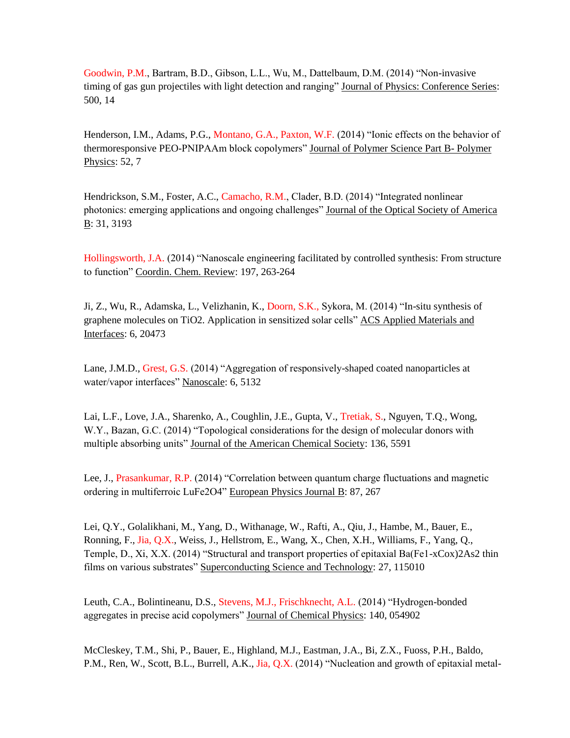Goodwin, P.M., Bartram, B.D., Gibson, L.L., Wu, M., Dattelbaum, D.M. (2014) "Non-invasive timing of gas gun projectiles with light detection and ranging" Journal of Physics: Conference Series: 500, 14

Henderson, I.M., Adams, P.G., Montano, G.A., Paxton, W.F. (2014) "Ionic effects on the behavior of thermoresponsive PEO-PNIPAAm block copolymers" Journal of Polymer Science Part B- Polymer Physics: 52, 7

Hendrickson, S.M., Foster, A.C., Camacho, R.M., Clader, B.D. (2014) "Integrated nonlinear photonics: emerging applications and ongoing challenges" Journal of the Optical Society of America B: 31, 3193

Hollingsworth, J.A. (2014) "Nanoscale engineering facilitated by controlled synthesis: From structure to function" Coordin. Chem. Review: 197, 263-264

Ji, Z., Wu, R., Adamska, L., Velizhanin, K., Doorn, S.K., Sykora, M. (2014) "In-situ synthesis of graphene molecules on TiO2. Application in sensitized solar cells" ACS Applied Materials and Interfaces: 6, 20473

Lane, J.M.D., Grest, G.S. (2014) "Aggregation of responsively-shaped coated nanoparticles at water/vapor interfaces" Nanoscale: 6, 5132

Lai, L.F., Love, J.A., Sharenko, A., Coughlin, J.E., Gupta, V., Tretiak, S., Nguyen, T.Q., Wong, W.Y., Bazan, G.C. (2014) "Topological considerations for the design of molecular donors with multiple absorbing units" Journal of the American Chemical Society: 136, 5591

Lee, J., Prasankumar, R.P. (2014) "Correlation between quantum charge fluctuations and magnetic ordering in multiferroic LuFe2O4" European Physics Journal B: 87, 267

Lei, Q.Y., Golalikhani, M., Yang, D., Withanage, W., Rafti, A., Qiu, J., Hambe, M., Bauer, E., Ronning, F., Jia, Q.X., Weiss, J., Hellstrom, E., Wang, X., Chen, X.H., Williams, F., Yang, Q., Temple, D., Xi, X.X. (2014) "Structural and transport properties of epitaxial Ba(Fe1-xCox)2As2 thin films on various substrates" Superconducting Science and Technology: 27, 115010

Leuth, C.A., Bolintineanu, D.S., Stevens, M.J., Frischknecht, A.L. (2014) "Hydrogen-bonded aggregates in precise acid copolymers" Journal of Chemical Physics: 140, 054902

McCleskey, T.M., Shi, P., Bauer, E., Highland, M.J., Eastman, J.A., Bi, Z.X., Fuoss, P.H., Baldo, P.M., Ren, W., Scott, B.L., Burrell, A.K., Jia, Q.X. (2014) "Nucleation and growth of epitaxial metal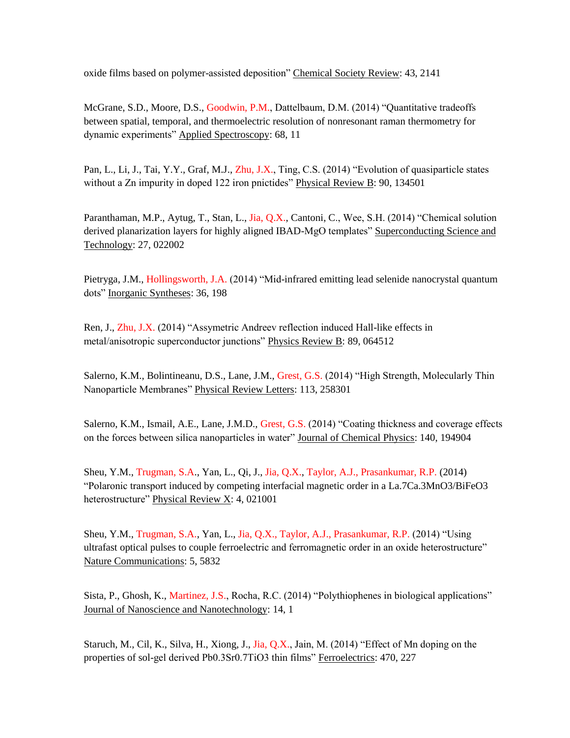oxide films based on polymer-assisted deposition" Chemical Society Review: 43, 2141

McGrane, S.D., Moore, D.S., Goodwin, P.M., Dattelbaum, D.M. (2014) "Quantitative tradeoffs between spatial, temporal, and thermoelectric resolution of nonresonant raman thermometry for dynamic experiments" Applied Spectroscopy: 68, 11

Pan, L., Li, J., Tai, Y.Y., Graf, M.J., Zhu, J.X., Ting, C.S. (2014) "Evolution of quasiparticle states without a Zn impurity in doped 122 iron pnictides" Physical Review B: 90, 134501

Paranthaman, M.P., Aytug, T., Stan, L., Jia, Q.X., Cantoni, C., Wee, S.H. (2014) "Chemical solution derived planarization layers for highly aligned IBAD-MgO templates" Superconducting Science and Technology: 27, 022002

Pietryga, J.M., Hollingsworth, J.A. (2014) "Mid-infrared emitting lead selenide nanocrystal quantum dots" Inorganic Syntheses: 36, 198

Ren, J., Zhu, J.X. (2014) "Assymetric Andreev reflection induced Hall-like effects in metal/anisotropic superconductor junctions" Physics Review B: 89, 064512

Salerno, K.M., Bolintineanu, D.S., Lane, J.M., Grest, G.S. (2014) "High Strength, Molecularly Thin Nanoparticle Membranes" Physical Review Letters: 113, 258301

Salerno, K.M., Ismail, A.E., Lane, J.M.D., Grest, G.S. (2014) "Coating thickness and coverage effects on the forces between silica nanoparticles in water" Journal of Chemical Physics: 140, 194904

Sheu, Y.M., Trugman, S.A., Yan, L., Qi, J., Jia, Q.X., Taylor, A.J., Prasankumar, R.P. (2014) "Polaronic transport induced by competing interfacial magnetic order in a La.7Ca.3MnO3/BiFeO3 heterostructure" Physical Review X: 4, 021001

Sheu, Y.M., Trugman, S.A., Yan, L., Jia, Q.X., Taylor, A.J., Prasankumar, R.P. (2014) "Using ultrafast optical pulses to couple ferroelectric and ferromagnetic order in an oxide heterostructure" Nature Communications: 5, 5832

Sista, P., Ghosh, K., Martinez, J.S., Rocha, R.C. (2014) "Polythiophenes in biological applications" Journal of Nanoscience and Nanotechnology: 14, 1

Staruch, M., Cil, K., Silva, H., Xiong, J., Jia, Q.X., Jain, M. (2014) "Effect of Mn doping on the properties of sol-gel derived Pb0.3Sr0.7TiO3 thin films" Ferroelectrics: 470, 227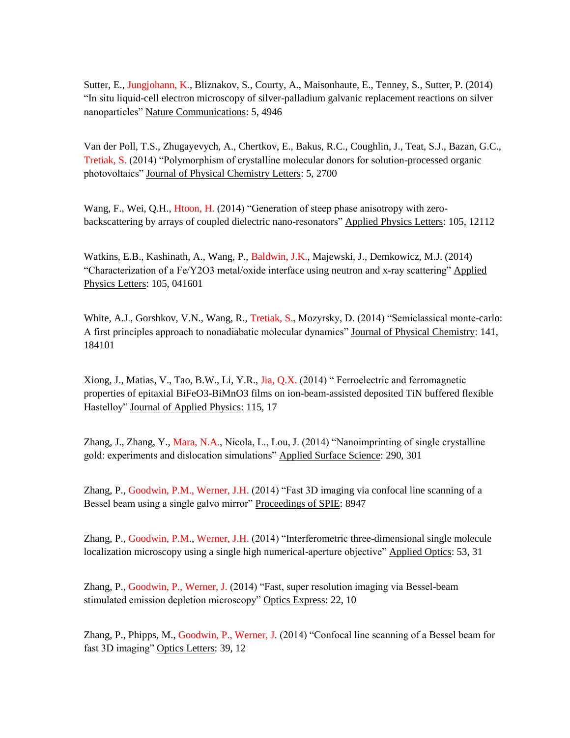Sutter, E., Jungjohann, K., Bliznakov, S., Courty, A., Maisonhaute, E., Tenney, S., Sutter, P. (2014) "In situ liquid-cell electron microscopy of silver-palladium galvanic replacement reactions on silver nanoparticles" Nature Communications: 5, 4946

Van der Poll, T.S., Zhugayevych, A., Chertkov, E., Bakus, R.C., Coughlin, J., Teat, S.J., Bazan, G.C., Tretiak, S. (2014) "Polymorphism of crystalline molecular donors for solution-processed organic photovoltaics" Journal of Physical Chemistry Letters: 5, 2700

Wang, F., Wei, Q.H., Htoon, H. (2014) "Generation of steep phase anisotropy with zerobackscattering by arrays of coupled dielectric nano-resonators" Applied Physics Letters: 105, 12112

Watkins, E.B., Kashinath, A., Wang, P., Baldwin, J.K., Majewski, J., Demkowicz, M.J. (2014) "Characterization of a Fe/Y2O3 metal/oxide interface using neutron and x-ray scattering" Applied Physics Letters: 105, 041601

White, A.J., Gorshkov, V.N., Wang, R., Tretiak, S., Mozyrsky, D. (2014) "Semiclassical monte-carlo: A first principles approach to nonadiabatic molecular dynamics" Journal of Physical Chemistry: 141, 184101

Xiong, J., Matias, V., Tao, B.W., Li, Y.R., Jia, Q.X. (2014) " Ferroelectric and ferromagnetic properties of epitaxial BiFeO3-BiMnO3 films on ion-beam-assisted deposited TiN buffered flexible Hastelloy" Journal of Applied Physics: 115, 17

Zhang, J., Zhang, Y., Mara, N.A., Nicola, L., Lou, J. (2014) "Nanoimprinting of single crystalline gold: experiments and dislocation simulations" Applied Surface Science: 290, 301

Zhang, P., Goodwin, P.M., Werner, J.H. (2014) "Fast 3D imaging via confocal line scanning of a Bessel beam using a single galvo mirror" Proceedings of SPIE: 8947

Zhang, P., Goodwin, P.M., Werner, J.H. (2014) "Interferometric three-dimensional single molecule localization microscopy using a single high numerical-aperture objective" Applied Optics: 53, 31

Zhang, P., Goodwin, P., Werner, J. (2014) "Fast, super resolution imaging via Bessel-beam stimulated emission depletion microscopy" Optics Express: 22, 10

Zhang, P., Phipps, M., Goodwin, P., Werner, J. (2014) "Confocal line scanning of a Bessel beam for fast 3D imaging" Optics Letters: 39, 12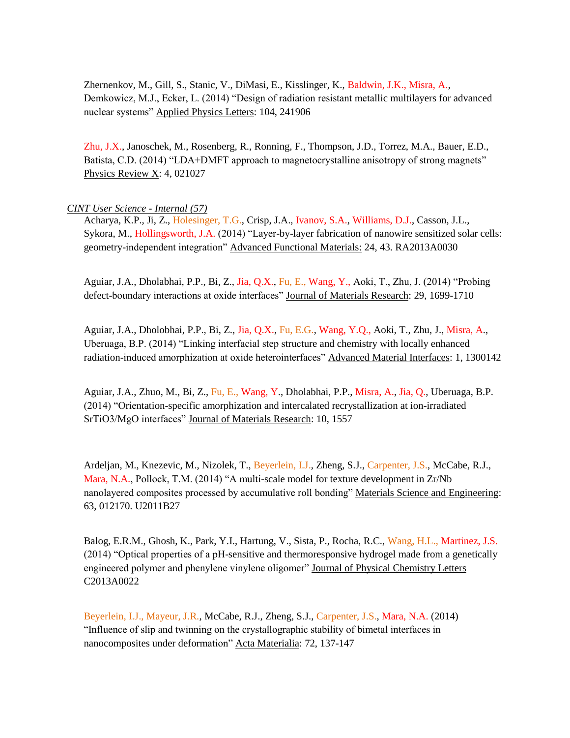Zhernenkov, M., Gill, S., Stanic, V., DiMasi, E., Kisslinger, K., Baldwin, J.K., Misra, A., Demkowicz, M.J., Ecker, L. (2014) "Design of radiation resistant metallic multilayers for advanced nuclear systems" Applied Physics Letters: 104, 241906

Zhu, J.X., Janoschek, M., Rosenberg, R., Ronning, F., Thompson, J.D., Torrez, M.A., Bauer, E.D., Batista, C.D. (2014) "LDA+DMFT approach to magnetocrystalline anisotropy of strong magnets" Physics Review  $X: 4, 021027$ 

## *CINT User Science - Internal (57)*

Acharya, K.P., Ji, Z., Holesinger, T.G., Crisp, J.A., Ivanov, S.A., Williams, D.J., Casson, J.L., Sykora, M., Hollingsworth, J.A. (2014) "Layer-by-layer fabrication of nanowire sensitized solar cells: geometry-independent integration" Advanced Functional Materials: 24, 43. RA2013A0030

Aguiar, J.A., Dholabhai, P.P., Bi, Z., Jia, Q.X., Fu, E., Wang, Y., Aoki, T., Zhu, J. (2014) "Probing defect-boundary interactions at oxide interfaces" Journal of Materials Research: 29, 1699-1710

Aguiar, J.A., Dholobhai, P.P., Bi, Z., Jia, Q.X., Fu, E.G., Wang, Y.Q., Aoki, T., Zhu, J., Misra, A., Uberuaga, B.P. (2014) "Linking interfacial step structure and chemistry with locally enhanced radiation-induced amorphization at oxide heterointerfaces" Advanced Material Interfaces: 1, 1300142

Aguiar, J.A., Zhuo, M., Bi, Z., Fu, E., Wang, Y., Dholabhai, P.P., Misra, A., Jia, Q., Uberuaga, B.P. (2014) "Orientation-specific amorphization and intercalated recrystallization at ion-irradiated SrTiO3/MgO interfaces" Journal of Materials Research: 10, 1557

Ardeljan, M., Knezevic, M., Nizolek, T., Beyerlein, I.J., Zheng, S.J., Carpenter, J.S., McCabe, R.J., Mara, N.A., Pollock, T.M. (2014) "A multi-scale model for texture development in Zr/Nb nanolayered composites processed by accumulative roll bonding" Materials Science and Engineering: 63, 012170. U2011B27

Balog, E.R.M., Ghosh, K., Park, Y.I., Hartung, V., Sista, P., Rocha, R.C., Wang, H.L., Martinez, J.S. (2014) "Optical properties of a pH-sensitive and thermoresponsive hydrogel made from a genetically engineered polymer and phenylene vinylene oligomer" Journal of Physical Chemistry Letters C2013A0022

Beyerlein, I.J., Mayeur, J.R., McCabe, R.J., Zheng, S.J., Carpenter, J.S., Mara, N.A. (2014) "Influence of slip and twinning on the crystallographic stability of bimetal interfaces in nanocomposites under deformation" Acta Materialia: 72, 137-147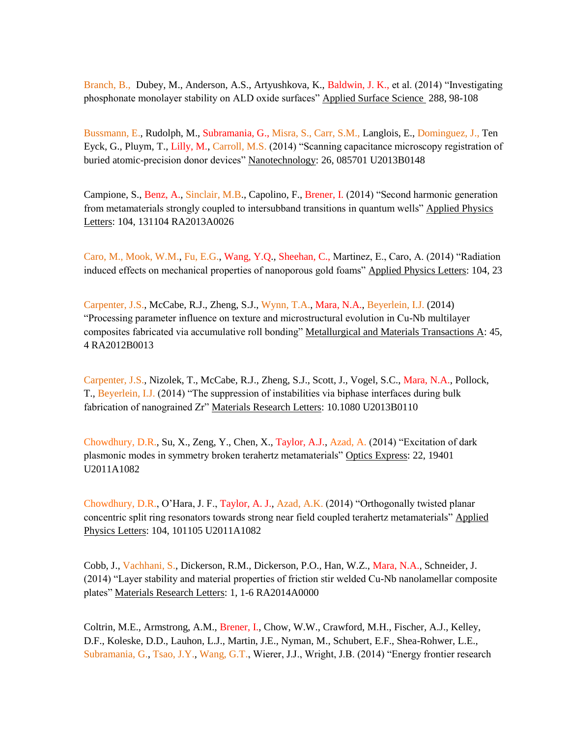Branch, B., Dubey, M., Anderson, A.S., Artyushkova, K., Baldwin, J. K., et al. (2014) "Investigating phosphonate monolayer stability on ALD oxide surfaces" Applied Surface Science 288, 98-108

Bussmann, E., Rudolph, M., Subramania, G., Misra, S., Carr, S.M., Langlois, E., Dominguez, J., Ten Eyck, G., Pluym, T., Lilly, M., Carroll, M.S. (2014) "Scanning capacitance microscopy registration of buried atomic-precision donor devices" Nanotechnology: 26, 085701 U2013B0148

Campione, S., Benz, A., Sinclair, M.B., Capolino, F., Brener, I. (2014) "Second harmonic generation from metamaterials strongly coupled to intersubband transitions in quantum wells" Applied Physics Letters: 104, 131104 RA2013A0026

Caro, M., Mook, W.M., Fu, E.G., Wang, Y.Q., Sheehan, C., Martinez, E., Caro, A. (2014) "Radiation induced effects on mechanical properties of nanoporous gold foams" Applied Physics Letters: 104, 23

Carpenter, J.S., McCabe, R.J., Zheng, S.J., Wynn, T.A., Mara, N.A., Beyerlein, I.J. (2014) "Processing parameter influence on texture and microstructural evolution in Cu-Nb multilayer composites fabricated via accumulative roll bonding" Metallurgical and Materials Transactions A: 45, 4 RA2012B0013

Carpenter, J.S., Nizolek, T., McCabe, R.J., Zheng, S.J., Scott, J., Vogel, S.C., Mara, N.A., Pollock, T., Beyerlein, I.J. (2014) "The suppression of instabilities via biphase interfaces during bulk fabrication of nanograined Zr" Materials Research Letters: 10.1080 U2013B0110

Chowdhury, D.R., Su, X., Zeng, Y., Chen, X., Taylor, A.J., Azad, A. (2014) "Excitation of dark plasmonic modes in symmetry broken terahertz metamaterials" Optics Express: 22, 19401 U2011A1082

Chowdhury, D.R., O'Hara, J. F., Taylor, A. J., Azad, A.K. (2014) "Orthogonally twisted planar concentric split ring resonators towards strong near field coupled terahertz metamaterials" Applied Physics Letters: 104, 101105 U2011A1082

Cobb, J., Vachhani, S., Dickerson, R.M., Dickerson, P.O., Han, W.Z., Mara, N.A., Schneider, J. (2014) "Layer stability and material properties of friction stir welded Cu-Nb nanolamellar composite plates" Materials Research Letters: 1, 1-6 RA2014A0000

Coltrin, M.E., Armstrong, A.M., Brener, I., Chow, W.W., Crawford, M.H., Fischer, A.J., Kelley, D.F., Koleske, D.D., Lauhon, L.J., Martin, J.E., Nyman, M., Schubert, E.F., Shea-Rohwer, L.E., Subramania, G., Tsao, J.Y., Wang, G.T., Wierer, J.J., Wright, J.B. (2014) "Energy frontier research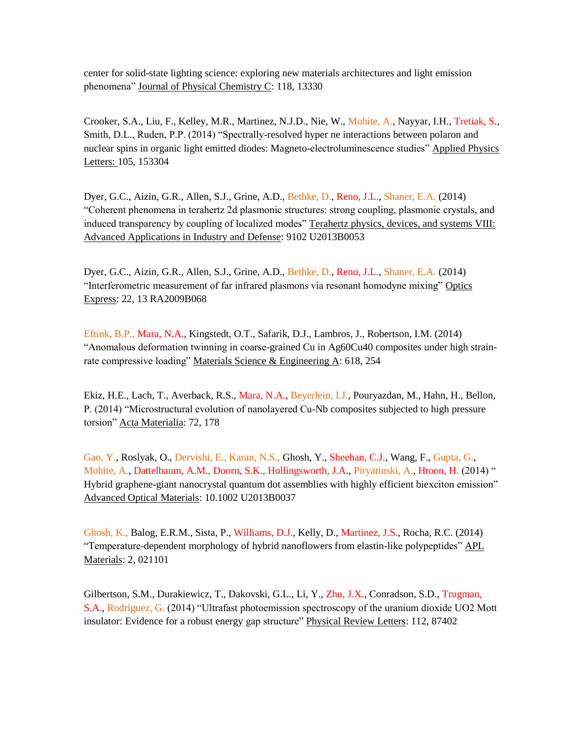center for solid-state lighting science: exploring new materials architectures and light emission phenomena" Journal of Physical Chemistry C: 118, 13330

Crooker, S.A., Liu, F., Kelley, M.R., Martinez, N.J.D., Nie, W., Mohite, A., Nayyar, I.H., Tretiak, S., Smith, D.L., Ruden, P.P. (2014) "Spectrally-resolved hyper ne interactions between polaron and nuclear spins in organic light emitted diodes: Magneto-electroluminescence studies" Applied Physics Letters: 105, 153304

Dyer, G.C., Aizin, G.R., Allen, S.J., Grine, A.D., Bethke, D., Reno, J.L., Shaner, E.A. (2014) "Coherent phenomena in terahertz 2d plasmonic structures: strong coupling, plasmonic crystals, and induced transparency by coupling of localized modes" Terahertz physics, devices, and systems VIII: Advanced Applications in Industry and Defense: 9102 U2013B0053

Dyer, G.C., Aizin, G.R., Allen, S.J., Grine, A.D., Bethke, D., Reno, J.L., Shaner, E.A. (2014) "Interferometric measurement of far infrared plasmons via resonant homodyne mixing" Optics Express: 22, 13 RA2009B068

Eftink, B.P., Mara, N.A., Kingstedt, O.T., Safarik, D.J., Lambros, J., Robertson, I.M. (2014) "Anomalous deformation twinning in coarse-grained Cu in Ag60Cu40 composites under high strainrate compressive loading" Materials Science & Engineering A: 618, 254

Ekiz, H.E., Lach, T., Averback, R.S., Mara, N.A., Beyerlein, I.J., Pouryazdan, M., Hahn, H., Bellon, P. (2014) "Microstructural evolution of nanolayered Cu-Nb composites subjected to high pressure torsion" Acta Materialia: 72, 178

Gao, Y., Roslyak, O., Dervishi, E., Karan, N.S., Ghosh, Y., Sheehan, C.J., Wang, F., Gupta, G., Mohite, A., Dattelbaum, A.M., Doorn, S.K., Hollingsworth, J.A., Piryatinski, A., Htoon, H. (2014) " Hybrid graphene-giant nanocrystal quantum dot assemblies with highly efficient biexciton emission" Advanced Optical Materials: 10.1002 U2013B0037

Ghosh, K., Balog, E.R.M., Sista, P., Williams, D.J., Kelly, D., Martinez, J.S., Rocha, R.C. (2014) "Temperature-dependent morphology of hybrid nanoflowers from elastin-like polypeptides" APL Materials: 2, 021101

Gilbertson, S.M., Durakiewicz, T., Dakovski, G.L., Li, Y., Zhu, J.X., Conradson, S.D., Trugman, S.A., Rodriguez, G. (2014) "Ultrafast photoemission spectroscopy of the uranium dioxide UO2 Mott insulator: Evidence for a robust energy gap structure" Physical Review Letters: 112, 87402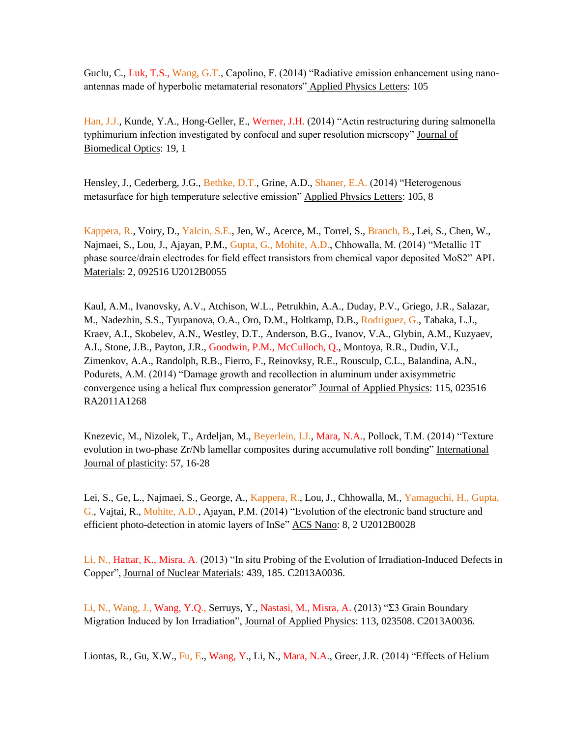Guclu, C., Luk, T.S., Wang, G.T., Capolino, F. (2014) "Radiative emission enhancement using nanoantennas made of hyperbolic metamaterial resonators" Applied Physics Letters: 105

Han, J.J., Kunde, Y.A., Hong-Geller, E., Werner, J.H. (2014) "Actin restructuring during salmonella typhimurium infection investigated by confocal and super resolution micrscopy" Journal of Biomedical Optics: 19, 1

Hensley, J., Cederberg, J.G., Bethke, D.T., Grine, A.D., Shaner, E.A. (2014) "Heterogenous metasurface for high temperature selective emission" Applied Physics Letters: 105, 8

Kappera, R., Voiry, D., Yalcin, S.E., Jen, W., Acerce, M., Torrel, S., Branch, B., Lei, S., Chen, W., Najmaei, S., Lou, J., Ajayan, P.M., Gupta, G., Mohite, A.D., Chhowalla, M. (2014) "Metallic 1T phase source/drain electrodes for field effect transistors from chemical vapor deposited MoS2" APL Materials: 2, 092516 U2012B0055

Kaul, A.M., Ivanovsky, A.V., Atchison, W.L., Petrukhin, A.A., Duday, P.V., Griego, J.R., Salazar, M., Nadezhin, S.S., Tyupanova, O.A., Oro, D.M., Holtkamp, D.B., Rodriguez, G., Tabaka, L.J., Kraev, A.I., Skobelev, A.N., Westley, D.T., Anderson, B.G., Ivanov, V.A., Glybin, A.M., Kuzyaev, A.I., Stone, J.B., Payton, J.R., Goodwin, P.M., McCulloch, Q., Montoya, R.R., Dudin, V.I., Zimenkov, A.A., Randolph, R.B., Fierro, F., Reinovksy, R.E., Rousculp, C.L., Balandina, A.N., Podurets, A.M. (2014) "Damage growth and recollection in aluminum under axisymmetric convergence using a helical flux compression generator" Journal of Applied Physics: 115, 023516 RA2011A1268

Knezevic, M., Nizolek, T., Ardeljan, M., Beyerlein, I.J., Mara, N.A., Pollock, T.M. (2014) "Texture evolution in two-phase Zr/Nb lamellar composites during accumulative roll bonding" International Journal of plasticity: 57, 16-28

Lei, S., Ge, L., Najmaei, S., George, A., Kappera, R., Lou, J., Chhowalla, M., Yamaguchi, H., Gupta, G., Vajtai, R., Mohite, A.D., Ajayan, P.M. (2014) "Evolution of the electronic band structure and efficient photo-detection in atomic layers of InSe" ACS Nano: 8, 2 U2012B0028

Li, N., Hattar, K., Misra, A. (2013) "In situ Probing of the Evolution of Irradiation-Induced Defects in Copper", Journal of Nuclear Materials: 439, 185. C2013A0036.

Li, N., Wang, J., Wang, Y.Q., Serruys, Y., Nastasi, M., Misra, A. (2013) "Σ3 Grain Boundary Migration Induced by Ion Irradiation", Journal of Applied Physics: 113, 023508. C2013A0036.

Liontas, R., Gu, X.W., Fu, E., Wang, Y., Li, N., Mara, N.A., Greer, J.R. (2014) "Effects of Helium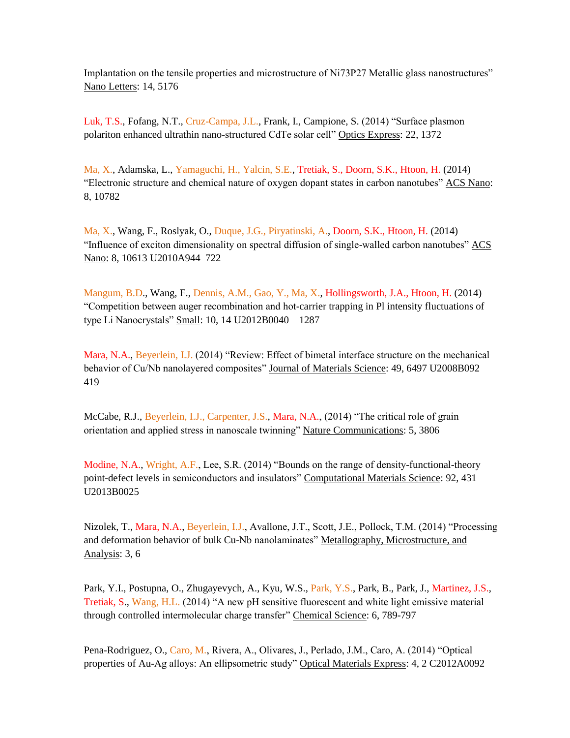Implantation on the tensile properties and microstructure of Ni73P27 Metallic glass nanostructures" Nano Letters: 14, 5176

Luk, T.S., Fofang, N.T., Cruz-Campa, J.L., Frank, I., Campione, S. (2014) "Surface plasmon polariton enhanced ultrathin nano-structured CdTe solar cell" Optics Express: 22, 1372

Ma, X., Adamska, L., Yamaguchi, H., Yalcin, S.E., Tretiak, S., Doorn, S.K., Htoon, H. (2014) "Electronic structure and chemical nature of oxygen dopant states in carbon nanotubes" ACS Nano: 8, 10782

Ma, X., Wang, F., Roslyak, O., Duque, J.G., Piryatinski, A., Doorn, S.K., Htoon, H. (2014) "Influence of exciton dimensionality on spectral diffusion of single-walled carbon nanotubes" ACS Nano: 8, 10613 U2010A944 722

Mangum, B.D., Wang, F., Dennis, A.M., Gao, Y., Ma, X., Hollingsworth, J.A., Htoon, H. (2014) "Competition between auger recombination and hot-carrier trapping in Pl intensity fluctuations of type Li Nanocrystals" Small: 10, 14 U2012B0040 1287

Mara, N.A., Beyerlein, I.J. (2014) "Review: Effect of bimetal interface structure on the mechanical behavior of Cu/Nb nanolayered composites" Journal of Materials Science: 49, 6497 U2008B092 419

McCabe, R.J., Beyerlein, I.J., Carpenter, J.S., Mara, N.A., (2014) "The critical role of grain orientation and applied stress in nanoscale twinning" Nature Communications: 5, 3806

Modine, N.A., Wright, A.F., Lee, S.R. (2014) "Bounds on the range of density-functional-theory point-defect levels in semiconductors and insulators" Computational Materials Science: 92, 431 U2013B0025

Nizolek, T., Mara, N.A., Beyerlein, I.J., Avallone, J.T., Scott, J.E., Pollock, T.M. (2014) "Processing and deformation behavior of bulk Cu-Nb nanolaminates" Metallography, Microstructure, and Analysis: 3, 6

Park, Y.I., Postupna, O., Zhugayevych, A., Kyu, W.S., Park, Y.S., Park, B., Park, J., Martinez, J.S., Tretiak, S., Wang, H.L. (2014) "A new pH sensitive fluorescent and white light emissive material through controlled intermolecular charge transfer" Chemical Science: 6, 789-797

Pena-Rodriguez, O., Caro, M., Rivera, A., Olivares, J., Perlado, J.M., Caro, A. (2014) "Optical properties of Au-Ag alloys: An ellipsometric study" Optical Materials Express: 4, 2 C2012A0092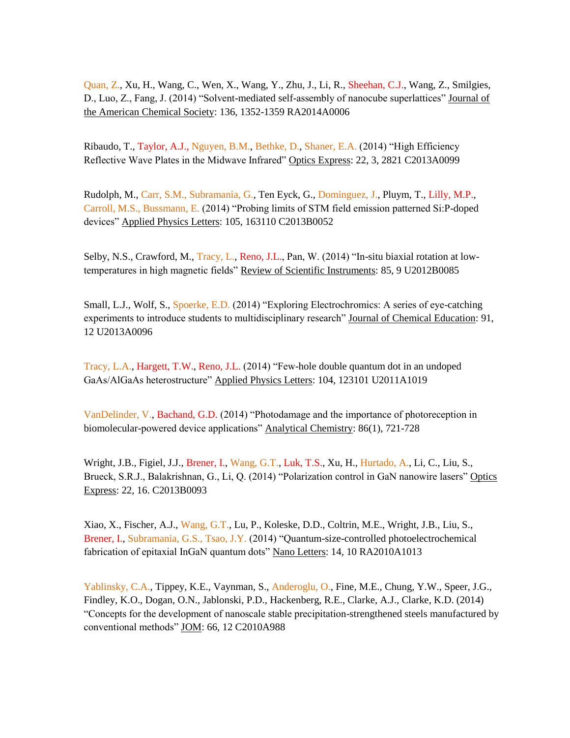Quan, Z., Xu, H., Wang, C., Wen, X., Wang, Y., Zhu, J., Li, R., Sheehan, C.J., Wang, Z., Smilgies, D., Luo, Z., Fang, J. (2014) "Solvent-mediated self-assembly of nanocube superlattices" Journal of the American Chemical Society: 136, 1352-1359 RA2014A0006

Ribaudo, T., Taylor, A.J., Nguyen, B.M., Bethke, D., Shaner, E.A. (2014) "High Efficiency Reflective Wave Plates in the Midwave Infrared" Optics Express: 22, 3, 2821 C2013A0099

Rudolph, M., Carr, S.M., Subramania, G., Ten Eyck, G., Dominguez, J., Pluym, T., Lilly, M.P., Carroll, M.S., Bussmann, E. (2014) "Probing limits of STM field emission patterned Si:P-doped devices" Applied Physics Letters: 105, 163110 C2013B0052

Selby, N.S., Crawford, M., Tracy, L., Reno, J.L., Pan, W. (2014) "In-situ biaxial rotation at lowtemperatures in high magnetic fields" Review of Scientific Instruments: 85, 9 U2012B0085

Small, L.J., Wolf, S., Spoerke, E.D. (2014) "Exploring Electrochromics: A series of eye-catching experiments to introduce students to multidisciplinary research" Journal of Chemical Education: 91, 12 U2013A0096

Tracy, L.A., Hargett, T.W., Reno, J.L. (2014) "Few-hole double quantum dot in an undoped GaAs/AlGaAs heterostructure" Applied Physics Letters: 104, 123101 U2011A1019

VanDelinder, V., Bachand, G.D. (2014) "Photodamage and the importance of photoreception in biomolecular-powered device applications" Analytical Chemistry: 86(1), 721-728

Wright, J.B., Figiel, J.J., Brener, I., Wang, G.T., Luk, T.S., Xu, H., Hurtado, A., Li, C., Liu, S., Brueck, S.R.J., Balakrishnan, G., Li, Q. (2014) "Polarization control in GaN nanowire lasers" Optics Express: 22, 16. C2013B0093

Xiao, X., Fischer, A.J., Wang, G.T., Lu, P., Koleske, D.D., Coltrin, M.E., Wright, J.B., Liu, S., Brener, I., Subramania, G.S., Tsao, J.Y. (2014) "Quantum-size-controlled photoelectrochemical fabrication of epitaxial InGaN quantum dots" Nano Letters: 14, 10 RA2010A1013

Yablinsky, C.A., Tippey, K.E., Vaynman, S., Anderoglu, O., Fine, M.E., Chung, Y.W., Speer, J.G., Findley, K.O., Dogan, O.N., Jablonski, P.D., Hackenberg, R.E., Clarke, A.J., Clarke, K.D. (2014) "Concepts for the development of nanoscale stable precipitation-strengthened steels manufactured by conventional methods" JOM: 66, 12 C2010A988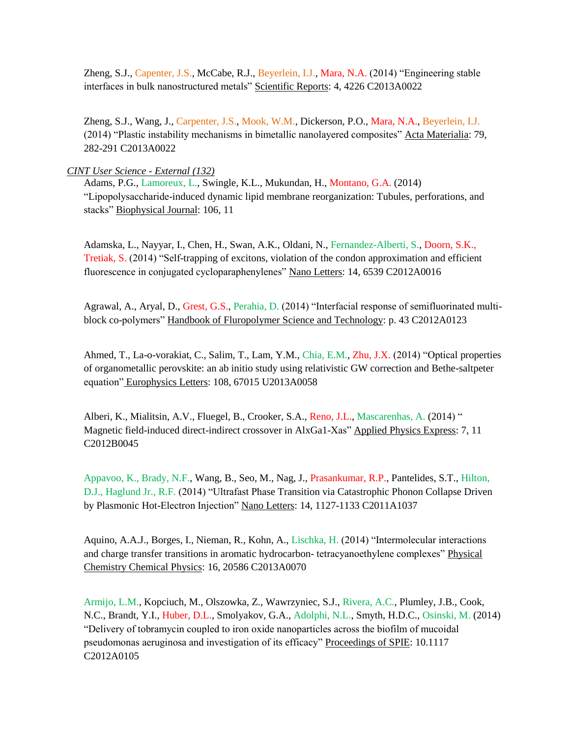Zheng, S.J., Capenter, J.S., McCabe, R.J., Beyerlein, I.J., Mara, N.A. (2014) "Engineering stable interfaces in bulk nanostructured metals" Scientific Reports: 4, 4226 C2013A0022

Zheng, S.J., Wang, J., Carpenter, J.S., Mook, W.M., Dickerson, P.O., Mara, N.A., Beyerlein, I.J. (2014) "Plastic instability mechanisms in bimetallic nanolayered composites" Acta Materialia: 79, 282-291 C2013A0022

*CINT User Science - External (132)*

Adams, P.G., Lamoreux, L., Swingle, K.L., Mukundan, H., Montano, G.A. (2014) "Lipopolysaccharide-induced dynamic lipid membrane reorganization: Tubules, perforations, and stacks" Biophysical Journal: 106, 11

Adamska, L., Nayyar, I., Chen, H., Swan, A.K., Oldani, N., Fernandez-Alberti, S., Doorn, S.K., Tretiak, S. (2014) "Self-trapping of excitons, violation of the condon approximation and efficient fluorescence in conjugated cycloparaphenylenes" Nano Letters: 14, 6539 C2012A0016

Agrawal, A., Aryal, D., Grest, G.S., Perahia, D. (2014) "Interfacial response of semifluorinated multiblock co-polymers" Handbook of Fluropolymer Science and Technology: p. 43 C2012A0123

Ahmed, T., La-o-vorakiat, C., Salim, T., Lam, Y.M., Chia, E.M., Zhu, J.X. (2014) "Optical properties of organometallic perovskite: an ab initio study using relativistic GW correction and Bethe-saltpeter equation" Europhysics Letters: 108, 67015 U2013A0058

Alberi, K., Mialitsin, A.V., Fluegel, B., Crooker, S.A., Reno, J.L., Mascarenhas, A. (2014) " Magnetic field-induced direct-indirect crossover in AlxGa1-Xas" Applied Physics Express: 7, 11 C2012B0045

Appavoo, K., Brady, N.F., Wang, B., Seo, M., Nag, J., Prasankumar, R.P., Pantelides, S.T., Hilton, D.J., Haglund Jr., R.F. (2014) "Ultrafast Phase Transition via Catastrophic Phonon Collapse Driven by Plasmonic Hot-Electron Injection" Nano Letters: 14, 1127-1133 C2011A1037

Aquino, A.A.J., Borges, I., Nieman, R., Kohn, A., Lischka, H. (2014) "Intermolecular interactions and charge transfer transitions in aromatic hydrocarbon- tetracyanoethylene complexes" Physical Chemistry Chemical Physics: 16, 20586 C2013A0070

Armijo, L.M., Kopciuch, M., Olszowka, Z., Wawrzyniec, S.J., Rivera, A.C., Plumley, J.B., Cook, N.C., Brandt, Y.I., Huber, D.L., Smolyakov, G.A., Adolphi, N.L., Smyth, H.D.C., Osinski, M. (2014) "Delivery of tobramycin coupled to iron oxide nanoparticles across the biofilm of mucoidal pseudomonas aeruginosa and investigation of its efficacy" Proceedings of SPIE: 10.1117 C2012A0105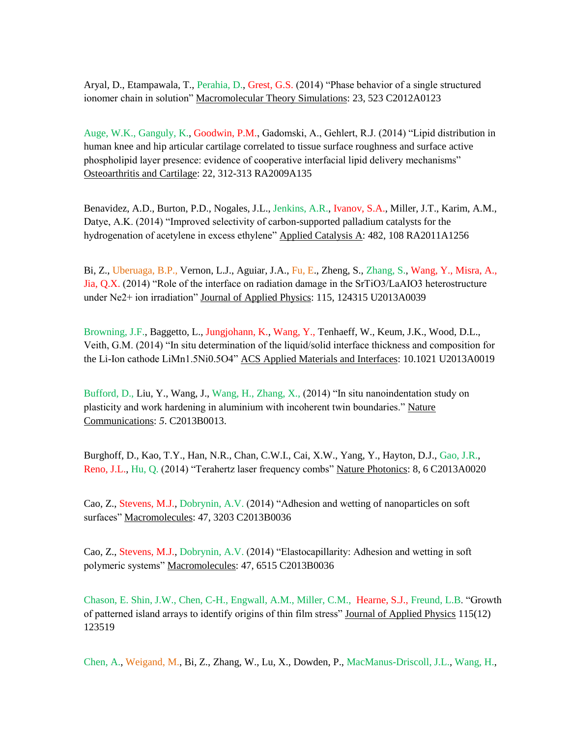Aryal, D., Etampawala, T., Perahia, D., Grest, G.S. (2014) "Phase behavior of a single structured ionomer chain in solution" Macromolecular Theory Simulations: 23, 523 C2012A0123

Auge, W.K., Ganguly, K., Goodwin, P.M., Gadomski, A., Gehlert, R.J. (2014) "Lipid distribution in human knee and hip articular cartilage correlated to tissue surface roughness and surface active phospholipid layer presence: evidence of cooperative interfacial lipid delivery mechanisms" Osteoarthritis and Cartilage: 22, 312-313 RA2009A135

Benavidez, A.D., Burton, P.D., Nogales, J.L., Jenkins, A.R., Ivanov, S.A., Miller, J.T., Karim, A.M., Datye, A.K. (2014) "Improved selectivity of carbon-supported palladium catalysts for the hydrogenation of acetylene in excess ethylene" Applied Catalysis A: 482, 108 RA2011A1256

Bi, Z., Uberuaga, B.P., Vernon, L.J., Aguiar, J.A., Fu, E., Zheng, S., Zhang, S., Wang, Y., Misra, A., Jia, Q.X. (2014) "Role of the interface on radiation damage in the SrTiO3/LaAIO3 heterostructure under Ne2+ ion irradiation" Journal of Applied Physics: 115, 124315 U2013A0039

Browning, J.F., Baggetto, L., Jungjohann, K., Wang, Y., Tenhaeff, W., Keum, J.K., Wood, D.L., Veith, G.M. (2014) "In situ determination of the liquid/solid interface thickness and composition for the Li-Ion cathode LiMn1.5Ni0.5O4" ACS Applied Materials and Interfaces: 10.1021 U2013A0019

Bufford, D., Liu, Y., Wang, J., Wang, H., Zhang, X., (2014) "In situ nanoindentation study on plasticity and work hardening in aluminium with incoherent twin boundaries." Nature Communications: *5*. C2013B0013.

Burghoff, D., Kao, T.Y., Han, N.R., Chan, C.W.I., Cai, X.W., Yang, Y., Hayton, D.J., Gao, J.R., Reno, J.L., Hu, Q. (2014) "Terahertz laser frequency combs" Nature Photonics: 8, 6 C2013A0020

Cao, Z., Stevens, M.J., Dobrynin, A.V. (2014) "Adhesion and wetting of nanoparticles on soft surfaces" Macromolecules: 47, 3203 C2013B0036

Cao, Z., Stevens, M.J., Dobrynin, A.V. (2014) "Elastocapillarity: Adhesion and wetting in soft polymeric systems" Macromolecules: 47, 6515 C2013B0036

Chason, E. Shin, J.W., Chen, C-H., Engwall, A.M., Miller, C.M., Hearne, S.J., Freund, L.B. "Growth of patterned island arrays to identify origins of thin film stress" Journal of Applied Physics 115(12) 123519

Chen, A., Weigand, M., Bi, Z., Zhang, W., Lu, X., Dowden, P., MacManus-Driscoll, J.L., Wang, H.,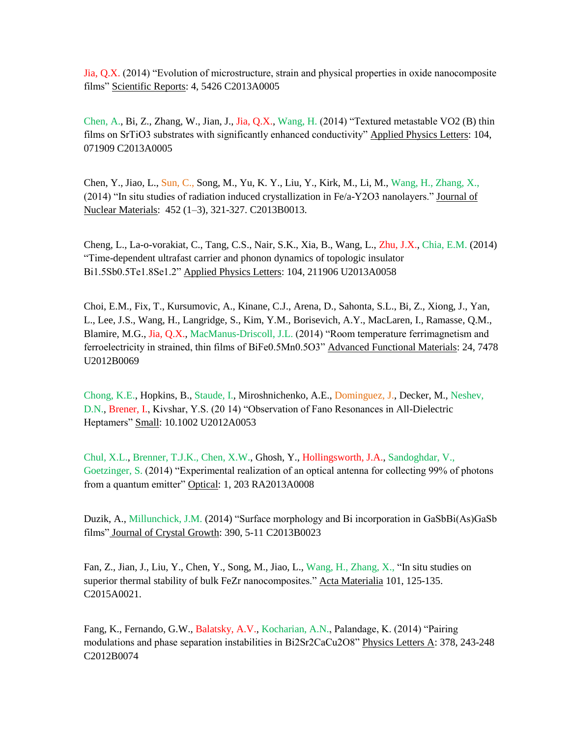Jia, Q.X. (2014) "Evolution of microstructure, strain and physical properties in oxide nanocomposite films" Scientific Reports: 4, 5426 C2013A0005

Chen, A., Bi, Z., Zhang, W., Jian, J., Jia, Q.X., Wang, H. (2014) "Textured metastable VO2 (B) thin films on SrTiO3 substrates with significantly enhanced conductivity" Applied Physics Letters: 104, 071909 C2013A0005

Chen, Y., Jiao, L., Sun, C., Song, M., Yu, K. Y., Liu, Y., Kirk, M., Li, M., Wang, H., Zhang, X., (2014) "In situ studies of radiation induced crystallization in Fe/a-Y2O3 nanolayers." Journal of Nuclear Materials: 452 (1–3), 321-327. C2013B0013.

Cheng, L., La-o-vorakiat, C., Tang, C.S., Nair, S.K., Xia, B., Wang, L., Zhu, J.X., Chia, E.M. (2014) "Time-dependent ultrafast carrier and phonon dynamics of topologic insulator Bi1.5Sb0.5Te1.8Se1.2" Applied Physics Letters: 104, 211906 U2013A0058

Choi, E.M., Fix, T., Kursumovic, A., Kinane, C.J., Arena, D., Sahonta, S.L., Bi, Z., Xiong, J., Yan, L., Lee, J.S., Wang, H., Langridge, S., Kim, Y.M., Borisevich, A.Y., MacLaren, I., Ramasse, Q.M., Blamire, M.G., Jia, Q.X., MacManus-Driscoll, J.L. (2014) "Room temperature ferrimagnetism and ferroelectricity in strained, thin films of BiFe0.5Mn0.5O3" Advanced Functional Materials: 24, 7478 U2012B0069

Chong, K.E., Hopkins, B., Staude, I., Miroshnichenko, A.E., Dominguez, J., Decker, M., Neshev, D.N., Brener, I., Kivshar, Y.S. (20 14) "Observation of Fano Resonances in All-Dielectric Heptamers" Small: 10.1002 U2012A0053

Chul, X.L., Brenner, T.J.K., Chen, X.W., Ghosh, Y., Hollingsworth, J.A., Sandoghdar, V., Goetzinger, S. (2014) "Experimental realization of an optical antenna for collecting 99% of photons from a quantum emitter" Optical: 1, 203 RA2013A0008

Duzik, A., Millunchick, J.M. (2014) "Surface morphology and Bi incorporation in GaSbBi(As)GaSb films" Journal of Crystal Growth: 390, 5-11 C2013B0023

Fan, Z., Jian, J., Liu, Y., Chen, Y., Song, M., Jiao, L., Wang, H., Zhang, X., "In situ studies on superior thermal stability of bulk FeZr nanocomposites." Acta Materialia 101, 125-135. C2015A0021.

Fang, K., Fernando, G.W., Balatsky, A.V., Kocharian, A.N., Palandage, K. (2014) "Pairing modulations and phase separation instabilities in Bi2Sr2CaCu2O8" Physics Letters A: 378, 243-248 C2012B0074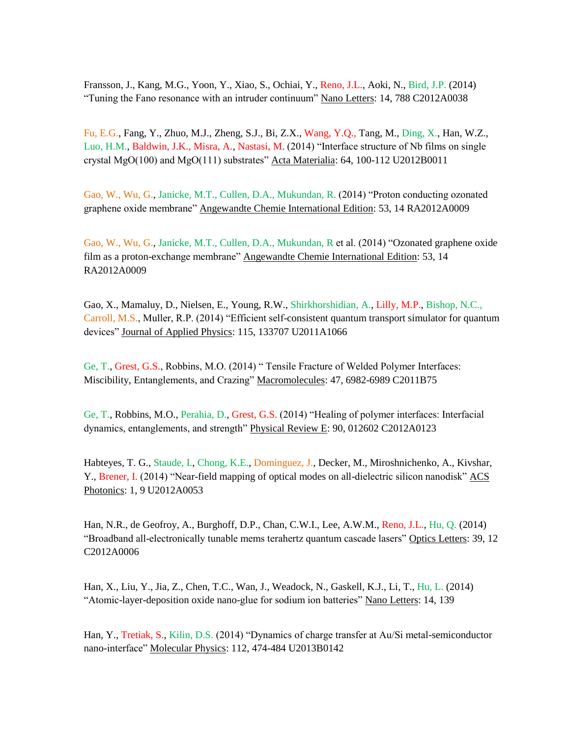Fransson, J., Kang, M.G., Yoon, Y., Xiao, S., Ochiai, Y., Reno, J.L., Aoki, N., Bird, J.P. (2014) "Tuning the Fano resonance with an intruder continuum" Nano Letters: 14, 788 C2012A0038

Fu, E.G., Fang, Y., Zhuo, M.J., Zheng, S.J., Bi, Z.X., Wang, Y.Q., Tang, M., Ding, X., Han, W.Z., Luo, H.M., Baldwin, J.K., Misra, A., Nastasi, M. (2014) "Interface structure of Nb films on single crystal MgO(100) and MgO(111) substrates" Acta Materialia:  $64$ , 100-112 U2012B0011

Gao, W., Wu, G., Janicke, M.T., Cullen, D.A., Mukundan, R. (2014) "Proton conducting ozonated graphene oxide membrane" Angewandte Chemie International Edition: 53, 14 RA2012A0009

Gao, W., Wu, G., Janicke, M.T., Cullen, D.A., Mukundan, R et al. (2014) "Ozonated graphene oxide film as a proton-exchange membrane" Angewandte Chemie International Edition: 53, 14 RA2012A0009

Gao, X., Mamaluy, D., Nielsen, E., Young, R.W., Shirkhorshidian, A., Lilly, M.P., Bishop, N.C., Carroll, M.S., Muller, R.P. (2014) "Efficient self-consistent quantum transport simulator for quantum devices" Journal of Applied Physics: 115, 133707 U2011A1066

Ge, T., Grest, G.S., Robbins, M.O. (2014) " Tensile Fracture of Welded Polymer Interfaces: Miscibility, Entanglements, and Crazing" Macromolecules: 47, 6982-6989 C2011B75

Ge, T., Robbins, M.O., Perahia, D., Grest, G.S. (2014) "Healing of polymer interfaces: Interfacial dynamics, entanglements, and strength" Physical Review E: 90, 012602 C2012A0123

Habteyes, T. G., Staude, I., Chong, K.E., Dominguez, J., Decker, M., Miroshnichenko, A., Kivshar, Y., Brener, I. (2014) "Near-field mapping of optical modes on all-dielectric silicon nanodisk" ACS Photonics: 1, 9 U2012A0053

Han, N.R., de Geofroy, A., Burghoff, D.P., Chan, C.W.I., Lee, A.W.M., Reno, J.L., Hu, Q. (2014) "Broadband all-electronically tunable mems terahertz quantum cascade lasers" Optics Letters: 39, 12 C2012A0006

Han, X., Liu, Y., Jia, Z., Chen, T.C., Wan, J., Weadock, N., Gaskell, K.J., Li, T., Hu, L. (2014) "Atomic-layer-deposition oxide nano-glue for sodium ion batteries" Nano Letters: 14, 139

Han, Y., Tretiak, S., Kilin, D.S. (2014) "Dynamics of charge transfer at Au/Si metal-semiconductor nano-interface" Molecular Physics: 112, 474-484 U2013B0142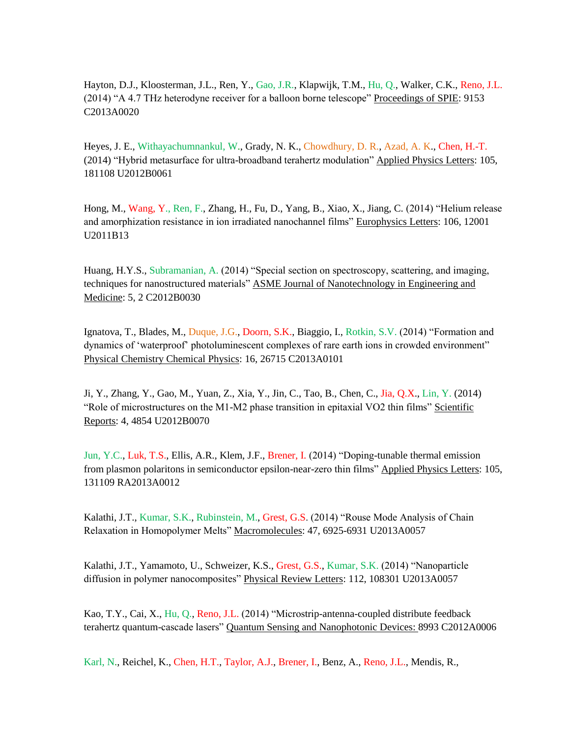Hayton, D.J., Kloosterman, J.L., Ren, Y., Gao, J.R., Klapwijk, T.M., Hu, Q., Walker, C.K., Reno, J.L. (2014) "A 4.7 THz heterodyne receiver for a balloon borne telescope" Proceedings of SPIE: 9153 C2013A0020

Heyes, J. E., Withayachumnankul, W., Grady, N. K., Chowdhury, D. R., Azad, A. K., Chen, H.-T. (2014) "Hybrid metasurface for ultra-broadband terahertz modulation" Applied Physics Letters: 105, 181108 U2012B0061

Hong, M., Wang, Y., Ren, F., Zhang, H., Fu, D., Yang, B., Xiao, X., Jiang, C. (2014) "Helium release and amorphization resistance in ion irradiated nanochannel films" Europhysics Letters: 106, 12001 U2011B13

Huang, H.Y.S., Subramanian, A. (2014) "Special section on spectroscopy, scattering, and imaging, techniques for nanostructured materials" ASME Journal of Nanotechnology in Engineering and Medicine: 5, 2 C2012B0030

Ignatova, T., Blades, M., Duque, J.G., Doorn, S.K., Biaggio, I., Rotkin, S.V. (2014) "Formation and dynamics of 'waterproof' photoluminescent complexes of rare earth ions in crowded environment" Physical Chemistry Chemical Physics: 16, 26715 C2013A0101

Ji, Y., Zhang, Y., Gao, M., Yuan, Z., Xia, Y., Jin, C., Tao, B., Chen, C., Jia, Q.X., Lin, Y. (2014) "Role of microstructures on the M1-M2 phase transition in epitaxial VO2 thin films" Scientific Reports: 4, 4854 U2012B0070

Jun, Y.C., Luk, T.S., Ellis, A.R., Klem, J.F., Brener, I. (2014) "Doping-tunable thermal emission from plasmon polaritons in semiconductor epsilon-near-zero thin films" Applied Physics Letters: 105, 131109 RA2013A0012

Kalathi, J.T., Kumar, S.K., Rubinstein, M., Grest, G.S. (2014) "Rouse Mode Analysis of Chain Relaxation in Homopolymer Melts" Macromolecules: 47, 6925-6931 U2013A0057

Kalathi, J.T., Yamamoto, U., Schweizer, K.S., Grest, G.S., Kumar, S.K. (2014) "Nanoparticle diffusion in polymer nanocomposites" Physical Review Letters: 112, 108301 U2013A0057

Kao, T.Y., Cai, X., Hu, Q., Reno, J.L. (2014) "Microstrip-antenna-coupled distribute feedback terahertz quantum-cascade lasers" Quantum Sensing and Nanophotonic Devices: 8993 C2012A0006

Karl, N., Reichel, K., Chen, H.T., Taylor, A.J., Brener, I., Benz, A., Reno, J.L., Mendis, R.,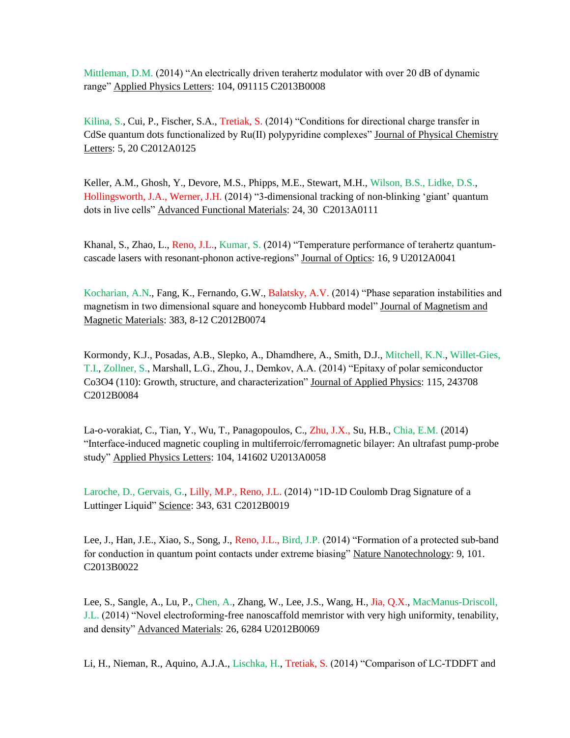Mittleman, D.M. (2014) "An electrically driven terahertz modulator with over 20 dB of dynamic range" Applied Physics Letters: 104, 091115 C2013B0008

Kilina, S., Cui, P., Fischer, S.A., Tretiak, S. (2014) "Conditions for directional charge transfer in CdSe quantum dots functionalized by Ru(II) polypyridine complexes" Journal of Physical Chemistry Letters: 5, 20 C2012A0125

Keller, A.M., Ghosh, Y., Devore, M.S., Phipps, M.E., Stewart, M.H., Wilson, B.S., Lidke, D.S., Hollingsworth, J.A., Werner, J.H. (2014) "3-dimensional tracking of non-blinking 'giant' quantum dots in live cells" Advanced Functional Materials: 24, 30 C2013A0111

Khanal, S., Zhao, L., Reno, J.L., Kumar, S. (2014) "Temperature performance of terahertz quantumcascade lasers with resonant-phonon active-regions" Journal of Optics: 16, 9 U2012A0041

Kocharian, A.N., Fang, K., Fernando, G.W., Balatsky, A.V. (2014) "Phase separation instabilities and magnetism in two dimensional square and honeycomb Hubbard model" Journal of Magnetism and Magnetic Materials: 383, 8-12 C2012B0074

Kormondy, K.J., Posadas, A.B., Slepko, A., Dhamdhere, A., Smith, D.J., Mitchell, K.N., Willet-Gies, T.I., Zollner, S., Marshall, L.G., Zhou, J., Demkov, A.A. (2014) "Epitaxy of polar semiconductor Co3O4 (110): Growth, structure, and characterization" Journal of Applied Physics: 115, 243708 C2012B0084

La-o-vorakiat, C., Tian, Y., Wu, T., Panagopoulos, C., Zhu, J.X., Su, H.B., Chia, E.M. (2014) "Interface-induced magnetic coupling in multiferroic/ferromagnetic bilayer: An ultrafast pump-probe study" Applied Physics Letters: 104, 141602 U2013A0058

Laroche, D., Gervais, G., Lilly, M.P., Reno, J.L. (2014) "1D-1D Coulomb Drag Signature of a Luttinger Liquid" Science: 343, 631 C2012B0019

Lee, J., Han, J.E., Xiao, S., Song, J., Reno, J.L., Bird, J.P. (2014) "Formation of a protected sub-band for conduction in quantum point contacts under extreme biasing" Nature Nanotechnology: 9, 101. C2013B0022

Lee, S., Sangle, A., Lu, P., Chen, A., Zhang, W., Lee, J.S., Wang, H., Jia, Q.X., MacManus-Driscoll, J.L. (2014) "Novel electroforming-free nanoscaffold memristor with very high uniformity, tenability, and density" Advanced Materials: 26, 6284 U2012B0069

Li, H., Nieman, R., Aquino, A.J.A., Lischka, H., Tretiak, S. (2014) "Comparison of LC-TDDFT and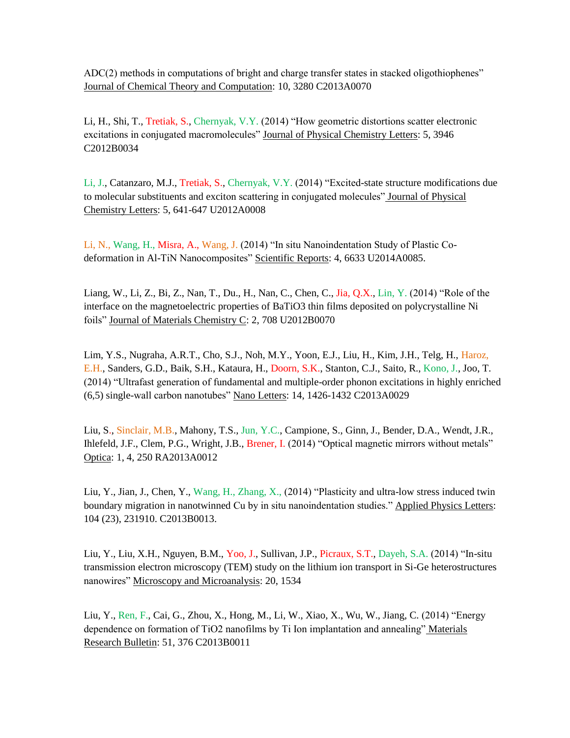ADC(2) methods in computations of bright and charge transfer states in stacked oligothiophenes" Journal of Chemical Theory and Computation: 10, 3280 C2013A0070

Li, H., Shi, T., Tretiak, S., Chernyak, V.Y. (2014) "How geometric distortions scatter electronic excitations in conjugated macromolecules" Journal of Physical Chemistry Letters: 5, 3946 C2012B0034

Li, J., Catanzaro, M.J., Tretiak, S., Chernyak, V.Y. (2014) "Excited-state structure modifications due to molecular substituents and exciton scattering in conjugated molecules" Journal of Physical Chemistry Letters: 5, 641-647 U2012A0008

Li, N., Wang, H., Misra, A., Wang, J. (2014) "In situ Nanoindentation Study of Plastic Codeformation in Al-TiN Nanocomposites" Scientific Reports: 4, 6633 U2014A0085.

Liang, W., Li, Z., Bi, Z., Nan, T., Du., H., Nan, C., Chen, C., Jia, Q.X., Lin, Y. (2014) "Role of the interface on the magnetoelectric properties of BaTiO3 thin films deposited on polycrystalline Ni foils" Journal of Materials Chemistry C: 2, 708 U2012B0070

Lim, Y.S., Nugraha, A.R.T., Cho, S.J., Noh, M.Y., Yoon, E.J., Liu, H., Kim, J.H., Telg, H., Haroz, E.H., Sanders, G.D., Baik, S.H., Kataura, H., Doorn, S.K., Stanton, C.J., Saito, R., Kono, J., Joo, T. (2014) "Ultrafast generation of fundamental and multiple-order phonon excitations in highly enriched (6,5) single-wall carbon nanotubes" Nano Letters: 14, 1426-1432 C2013A0029

Liu, S., Sinclair, M.B., Mahony, T.S., Jun, Y.C., Campione, S., Ginn, J., Bender, D.A., Wendt, J.R., Ihlefeld, J.F., Clem, P.G., Wright, J.B., Brener, I. (2014) "Optical magnetic mirrors without metals" Optica: 1, 4, 250 RA2013A0012

Liu, Y., Jian, J., Chen, Y., Wang, H., Zhang, X., (2014) "Plasticity and ultra-low stress induced twin boundary migration in nanotwinned Cu by in situ nanoindentation studies." Applied Physics Letters: 104 (23), 231910. C2013B0013.

Liu, Y., Liu, X.H., Nguyen, B.M., Yoo, J., Sullivan, J.P., Picraux, S.T., Dayeh, S.A. (2014) "In-situ transmission electron microscopy (TEM) study on the lithium ion transport in Si-Ge heterostructures nanowires" Microscopy and Microanalysis: 20, 1534

Liu, Y., Ren, F., Cai, G., Zhou, X., Hong, M., Li, W., Xiao, X., Wu, W., Jiang, C. (2014) "Energy dependence on formation of TiO2 nanofilms by Ti Ion implantation and annealing" Materials Research Bulletin: 51, 376 C2013B0011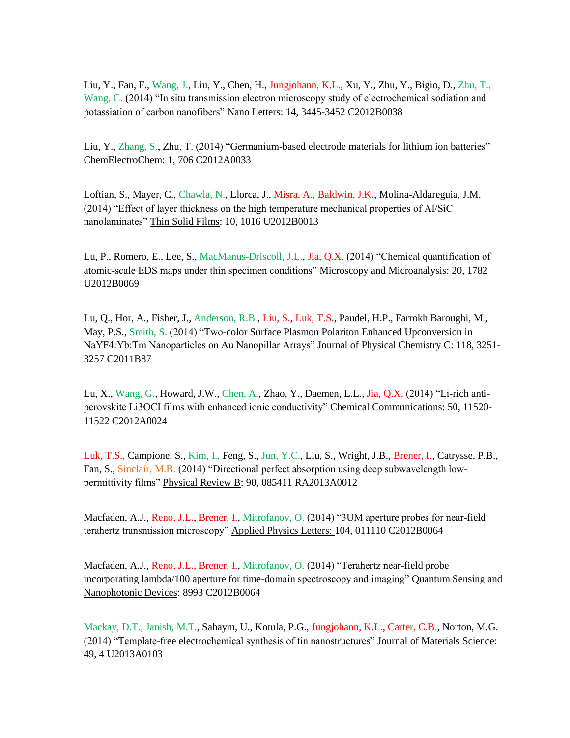Liu, Y., Fan, F., Wang, J., Liu, Y., Chen, H., Jungjohann, K.L., Xu, Y., Zhu, Y., Bigio, D., Zhu, T., Wang, C. (2014) "In situ transmission electron microscopy study of electrochemical sodiation and potassiation of carbon nanofibers" Nano Letters: 14, 3445-3452 C2012B0038

Liu, Y., Zhang, S., Zhu, T. (2014) "Germanium-based electrode materials for lithium ion batteries" ChemElectroChem: 1, 706 C2012A0033

Loftian, S., Mayer, C., Chawla, N., Llorca, J., Misra, A., Baldwin, J.K., Molina-Aldareguia, J.M. (2014) "Effect of layer thickness on the high temperature mechanical properties of Al/SiC nanolaminates" Thin Solid Films: 10, 1016 U2012B0013

Lu, P., Romero, E., Lee, S., MacManus-Driscoll, J.L., Jia, Q.X. (2014) "Chemical quantification of atomic-scale EDS maps under thin specimen conditions" Microscopy and Microanalysis: 20, 1782 U2012B0069

Lu, Q., Hor, A., Fisher, J., Anderson, R.B., Liu, S., Luk, T.S., Paudel, H.P., Farrokh Baroughi, M., May, P.S., Smith, S. (2014) "Two-color Surface Plasmon Polariton Enhanced Upconversion in NaYF4:Yb:Tm Nanoparticles on Au Nanopillar Arrays" Journal of Physical Chemistry C: 118, 3251- 3257 C2011B87

Lu, X., Wang, G., Howard, J.W., Chen, A., Zhao, Y., Daemen, L.L., Jia, Q.X. (2014) "Li-rich antiperovskite Li3OCI films with enhanced ionic conductivity" Chemical Communications: 50, 11520- 11522 C2012A0024

Luk, T.S., Campione, S., Kim, I., Feng, S., Jun, Y.C., Liu, S., Wright, J.B., Brener, I., Catrysse, P.B., Fan, S., Sinclair, M.B. (2014) "Directional perfect absorption using deep subwavelength lowpermittivity films" Physical Review B: 90, 085411 RA2013A0012

Macfaden, A.J., Reno, J.L., Brener, I., Mitrofanov, O. (2014) "3UM aperture probes for near-field terahertz transmission microscopy" Applied Physics Letters: 104, 011110 C2012B0064

Macfaden, A.J., Reno, J.L., Brener, I., Mitrofanov, O. (2014) "Terahertz near-field probe incorporating lambda/100 aperture for time-domain spectroscopy and imaging" Quantum Sensing and Nanophotonic Devices: 8993 C2012B0064

Mackay, D.T., Janish, M.T., Sahaym, U., Kotula, P.G., Jungjohann, K.L., Carter, C.B., Norton, M.G. (2014) "Template-free electrochemical synthesis of tin nanostructures" Journal of Materials Science: 49, 4 U2013A0103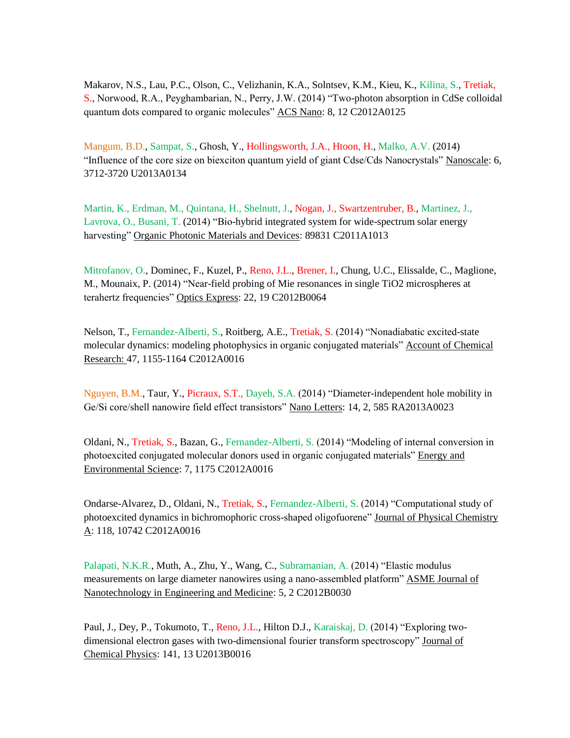Makarov, N.S., Lau, P.C., Olson, C., Velizhanin, K.A., Solntsev, K.M., Kieu, K., Kilina, S., Tretiak, S., Norwood, R.A., Peyghambarian, N., Perry, J.W. (2014) "Two-photon absorption in CdSe colloidal quantum dots compared to organic molecules" ACS Nano: 8, 12 C2012A0125

Mangum, B.D., Sampat, S., Ghosh, Y., Hollingsworth, J.A., Htoon, H., Malko, A.V. (2014) "Influence of the core size on biexciton quantum yield of giant Cdse/Cds Nanocrystals" Nanoscale: 6, 3712-3720 U2013A0134

Martin, K., Erdman, M., Quintana, H., Shelnutt, J., Nogan, J., Swartzentruber, B., Martinez, J., Lavrova, O., Busani, T. (2014) "Bio-hybrid integrated system for wide-spectrum solar energy harvesting" Organic Photonic Materials and Devices: 89831 C2011A1013

Mitrofanov, O., Dominec, F., Kuzel, P., Reno, J.L., Brener, I., Chung, U.C., Elissalde, C., Maglione, M., Mounaix, P. (2014) "Near-field probing of Mie resonances in single TiO2 microspheres at terahertz frequencies" Optics Express: 22, 19 C2012B0064

Nelson, T., Fernandez-Alberti, S., Roitberg, A.E., Tretiak, S. (2014) "Nonadiabatic excited-state molecular dynamics: modeling photophysics in organic conjugated materials" Account of Chemical Research: 47, 1155-1164 C2012A0016

Nguyen, B.M., Taur, Y., Picraux, S.T., Dayeh, S.A. (2014) "Diameter-independent hole mobility in Ge/Si core/shell nanowire field effect transistors" Nano Letters: 14, 2, 585 RA2013A0023

Oldani, N., Tretiak, S., Bazan, G., Fernandez-Alberti, S. (2014) "Modeling of internal conversion in photoexcited conjugated molecular donors used in organic conjugated materials" Energy and Environmental Science: 7, 1175 C2012A0016

Ondarse-Alvarez, D., Oldani, N., Tretiak, S., Fernandez-Alberti, S. (2014) "Computational study of photoexcited dynamics in bichromophoric cross-shaped oligofuorene" Journal of Physical Chemistry A: 118, 10742 C2012A0016

Palapati, N.K.R., Muth, A., Zhu, Y., Wang, C., Subramanian, A. (2014) "Elastic modulus measurements on large diameter nanowires using a nano-assembled platform" ASME Journal of Nanotechnology in Engineering and Medicine: 5, 2 C2012B0030

Paul, J., Dey, P., Tokumoto, T., Reno, J.L., Hilton D.J., Karaiskaj, D. (2014) "Exploring twodimensional electron gases with two-dimensional fourier transform spectroscopy" Journal of Chemical Physics: 141, 13 U2013B0016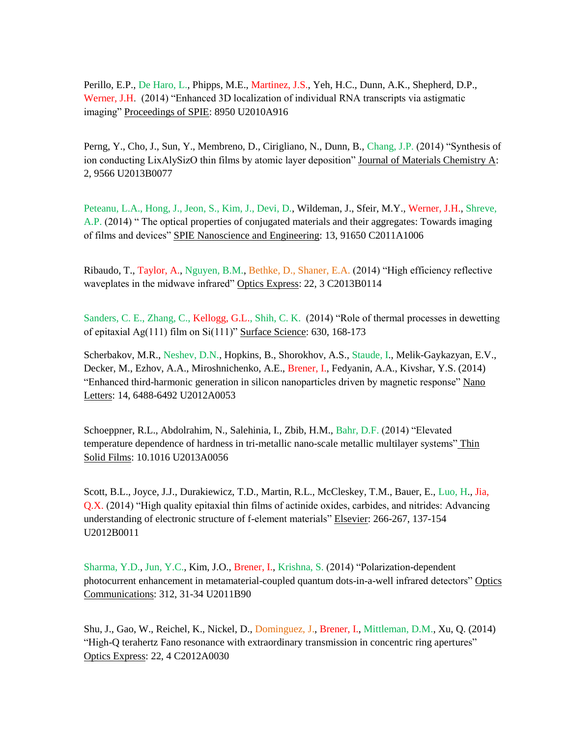Perillo, E.P., De Haro, L., Phipps, M.E., Martinez, J.S., Yeh, H.C., Dunn, A.K., Shepherd, D.P., Werner, J.H. (2014) "Enhanced 3D localization of individual RNA transcripts via astigmatic imaging" Proceedings of SPIE: 8950 U2010A916

Perng, Y., Cho, J., Sun, Y., Membreno, D., Cirigliano, N., Dunn, B., Chang, J.P. (2014) "Synthesis of ion conducting LixAlySizO thin films by atomic layer deposition" Journal of Materials Chemistry A: 2, 9566 U2013B0077

Peteanu, L.A., Hong, J., Jeon, S., Kim, J., Devi, D., Wildeman, J., Sfeir, M.Y., Werner, J.H., Shreve, A.P. (2014) " The optical properties of conjugated materials and their aggregates: Towards imaging of films and devices" SPIE Nanoscience and Engineering: 13, 91650 C2011A1006

Ribaudo, T., Taylor, A., Nguyen, B.M., Bethke, D., Shaner, E.A. (2014) "High efficiency reflective waveplates in the midwave infrared" Optics Express: 22, 3 C2013B0114

Sanders, C. E., Zhang, C., Kellogg, G.L., Shih, C. K. (2014) "Role of thermal processes in dewetting of epitaxial Ag(111) film on Si(111)" Surface Science: 630, 168-173

Scherbakov, M.R., Neshev, D.N., Hopkins, B., Shorokhov, A.S., Staude, I., Melik-Gaykazyan, E.V., Decker, M., Ezhov, A.A., Miroshnichenko, A.E., Brener, I., Fedyanin, A.A., Kivshar, Y.S. (2014) "Enhanced third-harmonic generation in silicon nanoparticles driven by magnetic response" Nano Letters: 14, 6488-6492 U2012A0053

Schoeppner, R.L., Abdolrahim, N., Salehinia, I., Zbib, H.M., Bahr, D.F. (2014) "Elevated temperature dependence of hardness in tri-metallic nano-scale metallic multilayer systems" Thin Solid Films: 10.1016 U2013A0056

Scott, B.L., Joyce, J.J., Durakiewicz, T.D., Martin, R.L., McCleskey, T.M., Bauer, E., Luo, H., Jia, Q.X. (2014) "High quality epitaxial thin films of actinide oxides, carbides, and nitrides: Advancing understanding of electronic structure of f-element materials" Elsevier: 266-267, 137-154 U2012B0011

Sharma, Y.D., Jun, Y.C., Kim, J.O., Brener, I., Krishna, S. (2014) "Polarization-dependent photocurrent enhancement in metamaterial-coupled quantum dots-in-a-well infrared detectors" Optics Communications: 312, 31-34 U2011B90

Shu, J., Gao, W., Reichel, K., Nickel, D., Dominguez, J., Brener, I., Mittleman, D.M., Xu, Q. (2014) "High-Q terahertz Fano resonance with extraordinary transmission in concentric ring apertures" Optics Express: 22, 4 C2012A0030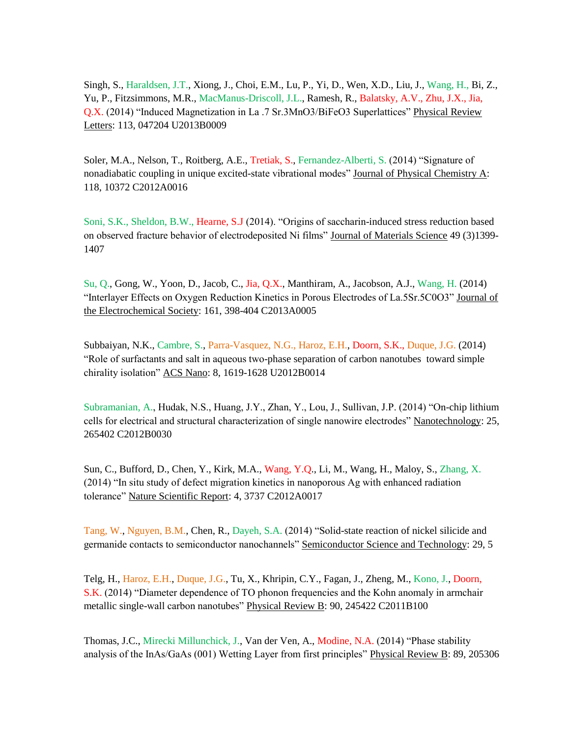Singh, S., Haraldsen, J.T., Xiong, J., Choi, E.M., Lu, P., Yi, D., Wen, X.D., Liu, J., Wang, H., Bi, Z., Yu, P., Fitzsimmons, M.R., MacManus-Driscoll, J.L., Ramesh, R., Balatsky, A.V., Zhu, J.X., Jia, Q.X. (2014) "Induced Magnetization in La .7 Sr.3MnO3/BiFeO3 Superlattices" Physical Review Letters: 113, 047204 U2013B0009

Soler, M.A., Nelson, T., Roitberg, A.E., Tretiak, S., Fernandez-Alberti, S. (2014) "Signature of nonadiabatic coupling in unique excited-state vibrational modes" Journal of Physical Chemistry A: 118, 10372 C2012A0016

Soni, S.K., Sheldon, B.W., Hearne, S.J (2014). "Origins of saccharin-induced stress reduction based on observed fracture behavior of electrodeposited Ni films" Journal of Materials Science 49 (3)1399-1407

Su, Q., Gong, W., Yoon, D., Jacob, C., Jia, Q.X., Manthiram, A., Jacobson, A.J., Wang, H. (2014) "Interlayer Effects on Oxygen Reduction Kinetics in Porous Electrodes of La.5Sr.5C0O3" Journal of the Electrochemical Society: 161, 398-404 C2013A0005

Subbaiyan, N.K., Cambre, S., Parra-Vasquez, N.G., Haroz, E.H., Doorn, S.K., Duque, J.G. (2014) "Role of surfactants and salt in aqueous two-phase separation of carbon nanotubes toward simple chirality isolation" ACS Nano: 8, 1619-1628 U2012B0014

Subramanian, A., Hudak, N.S., Huang, J.Y., Zhan, Y., Lou, J., Sullivan, J.P. (2014) "On-chip lithium cells for electrical and structural characterization of single nanowire electrodes" Nanotechnology: 25, 265402 C2012B0030

Sun, C., Bufford, D., Chen, Y., Kirk, M.A., Wang, Y.Q., Li, M., Wang, H., Maloy, S., Zhang, X. (2014) "In situ study of defect migration kinetics in nanoporous Ag with enhanced radiation tolerance" Nature Scientific Report: 4, 3737 C2012A0017

Tang, W., Nguyen, B.M., Chen, R., Dayeh, S.A. (2014) "Solid-state reaction of nickel silicide and germanide contacts to semiconductor nanochannels" Semiconductor Science and Technology: 29, 5

Telg, H., Haroz, E.H., Duque, J.G., Tu, X., Khripin, C.Y., Fagan, J., Zheng, M., Kono, J., Doorn, S.K. (2014) "Diameter dependence of TO phonon frequencies and the Kohn anomaly in armchair metallic single-wall carbon nanotubes" Physical Review B: 90, 245422 C2011B100

Thomas, J.C., Mirecki Millunchick, J., Van der Ven, A., Modine, N.A. (2014) "Phase stability analysis of the InAs/GaAs (001) Wetting Layer from first principles" Physical Review B: 89, 205306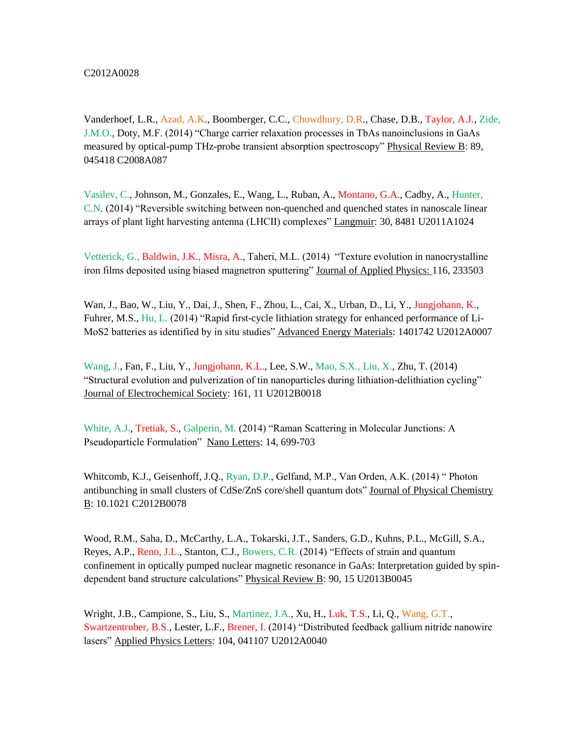Vanderhoef, L.R., Azad, A.K., Boomberger, C.C., Chowdhury, D.R., Chase, D.B., Taylor, A.J., Zide, J.M.O., Doty, M.F. (2014) "Charge carrier relaxation processes in TbAs nanoinclusions in GaAs measured by optical-pump THz-probe transient absorption spectroscopy" Physical Review B: 89, 045418 C2008A087

Vasilev, C., Johnson, M., Gonzales, E., Wang, L., Ruban, A., Montano, G.A., Cadby, A., Hunter, C.N. (2014) "Reversible switching between non-quenched and quenched states in nanoscale linear arrays of plant light harvesting antenna (LHCII) complexes" Langmuir: 30, 8481 U2011A1024

Vetterick, G., Baldwin, J.K., Misra, A., Taheri, M.L. (2014) "Texture evolution in nanocrystalline iron films deposited using biased magnetron sputtering" Journal of Applied Physics: 116, 233503

Wan, J., Bao, W., Liu, Y., Dai, J., Shen, F., Zhou, L., Cai, X., Urban, D., Li, Y., Jungjohann, K., Fuhrer, M.S., Hu, L. (2014) "Rapid first-cycle lithiation strategy for enhanced performance of Li-MoS2 batteries as identified by in situ studies" Advanced Energy Materials: 1401742 U2012A0007

Wang, J., Fan, F., Liu, Y., Jungjohann, K.L., Lee, S.W., Mao, S.X., Liu, X., Zhu, T. (2014) "Structural evolution and pulverization of tin nanoparticles during lithiation-delithiation cycling" Journal of Electrochemical Society: 161, 11 U2012B0018

White, A.J., Tretiak, S., Galperin, M. (2014) "Raman Scattering in Molecular Junctions: A Pseudoparticle Formulation" Nano Letters: 14, 699-703

Whitcomb, K.J., Geisenhoff, J.Q., Ryan, D.P., Gelfand, M.P., Van Orden, A.K. (2014) " Photon antibunching in small clusters of CdSe/ZnS core/shell quantum dots" Journal of Physical Chemistry B: 10.1021 C2012B0078

Wood, R.M., Saha, D., McCarthy, L.A., Tokarski, J.T., Sanders, G.D., Kuhns, P.L., McGill, S.A., Reyes, A.P., Reno, J.L., Stanton, C.J., Bowers, C.R. (2014) "Effects of strain and quantum confinement in optically pumped nuclear magnetic resonance in GaAs: Interpretation guided by spindependent band structure calculations" Physical Review B: 90, 15 U2013B0045

Wright, J.B., Campione, S., Liu, S., Martinez, J.A., Xu, H., Luk, T.S., Li, Q., Wang, G.T., Swartzentruber, B.S., Lester, L.F., Brener, I. (2014) "Distributed feedback gallium nitride nanowire lasers" Applied Physics Letters: 104, 041107 U2012A0040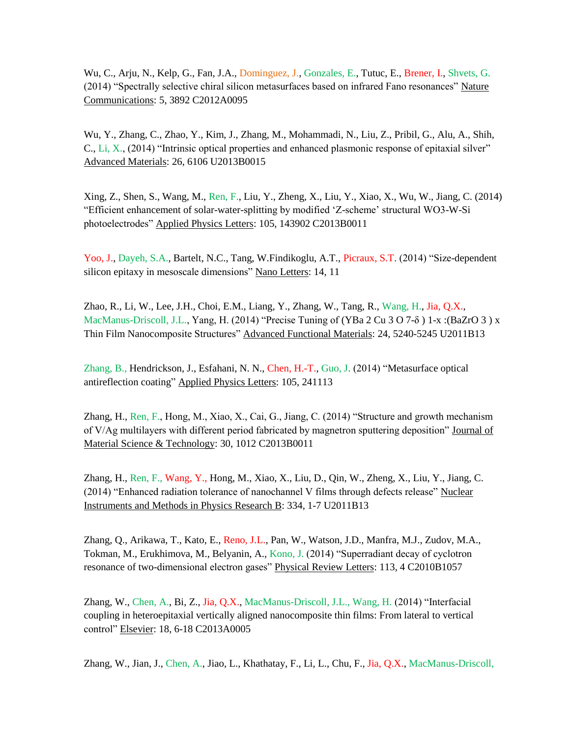Wu, C., Arju, N., Kelp, G., Fan, J.A., Dominguez, J., Gonzales, E., Tutuc, E., Brener, I., Shvets, G. (2014) "Spectrally selective chiral silicon metasurfaces based on infrared Fano resonances" Nature Communications: 5, 3892 C2012A0095

Wu, Y., Zhang, C., Zhao, Y., Kim, J., Zhang, M., Mohammadi, N., Liu, Z., Pribil, G., Alu, A., Shih, C., Li, X., (2014) "Intrinsic optical properties and enhanced plasmonic response of epitaxial silver" Advanced Materials: 26, 6106 U2013B0015

Xing, Z., Shen, S., Wang, M., Ren, F., Liu, Y., Zheng, X., Liu, Y., Xiao, X., Wu, W., Jiang, C. (2014) "Efficient enhancement of solar-water-splitting by modified 'Z-scheme' structural WO3-W-Si photoelectrodes" Applied Physics Letters: 105, 143902 C2013B0011

Yoo, J., Dayeh, S.A., Bartelt, N.C., Tang, W.Findikoglu, A.T., Picraux, S.T. (2014) "Size-dependent silicon epitaxy in mesoscale dimensions" Nano Letters: 14, 11

Zhao, R., Li, W., Lee, J.H., Choi, E.M., Liang, Y., Zhang, W., Tang, R., Wang, H., Jia, Q.X., MacManus-Driscoll, J.L., Yang, H. (2014) "Precise Tuning of (YBa 2 Cu 3 O 7- $\delta$ ) 1-x: (BaZrO 3) x Thin Film Nanocomposite Structures" Advanced Functional Materials: 24, 5240-5245 U2011B13

Zhang, B., Hendrickson, J., Esfahani, N. N., Chen, H.-T., Guo, J. (2014) "Metasurface optical antireflection coating" Applied Physics Letters: 105, 241113

Zhang, H., Ren, F., Hong, M., Xiao, X., Cai, G., Jiang, C. (2014) "Structure and growth mechanism of V/Ag multilayers with different period fabricated by magnetron sputtering deposition" Journal of Material Science & Technology: 30, 1012 C2013B0011

Zhang, H., Ren, F., Wang, Y., Hong, M., Xiao, X., Liu, D., Qin, W., Zheng, X., Liu, Y., Jiang, C. (2014) "Enhanced radiation tolerance of nanochannel V films through defects release" Nuclear Instruments and Methods in Physics Research B: 334, 1-7 U2011B13

Zhang, Q., Arikawa, T., Kato, E., Reno, J.L., Pan, W., Watson, J.D., Manfra, M.J., Zudov, M.A., Tokman, M., Erukhimova, M., Belyanin, A., Kono, J. (2014) "Superradiant decay of cyclotron resonance of two-dimensional electron gases" Physical Review Letters: 113, 4 C2010B1057

Zhang, W., Chen, A., Bi, Z., Jia, Q.X., MacManus-Driscoll, J.L., Wang, H. (2014) "Interfacial coupling in heteroepitaxial vertically aligned nanocomposite thin films: From lateral to vertical control" Elsevier: 18, 6-18 C2013A0005

Zhang, W., Jian, J., Chen, A., Jiao, L., Khathatay, F., Li, L., Chu, F., Jia, Q.X., MacManus-Driscoll,